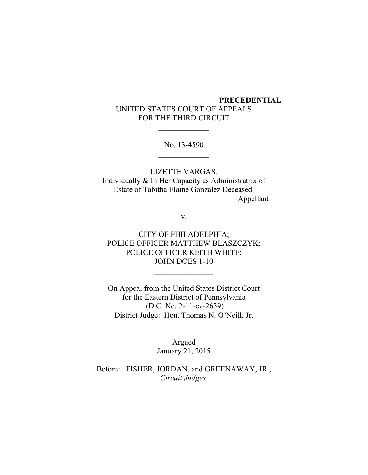# **PRECEDENTIAL** UNITED STATES COURT OF APPEALS FOR THE THIRD CIRCUIT

No. 13-4590

LIZETTE VARGAS, Individually & In Her Capacity as Administratrix of Estate of Tabitha Elaine Gonzalez Deceased, Appellant

v.

CITY OF PHILADELPHIA; POLICE OFFICER MATTHEW BLASZCZYK; POLICE OFFICER KEITH WHITE; JOHN DOES 1-10

On Appeal from the United States District Court for the Eastern District of Pennsylvania (D.C. No. 2-11-cv-2639) District Judge: Hon. Thomas N. O'Neill, Jr.

 $\mathcal{L}_\text{max}$  and  $\mathcal{L}_\text{max}$ 

Argued January 21, 2015

Before: FISHER, JORDAN, and GREENAWAY, JR., *Circuit Judges*.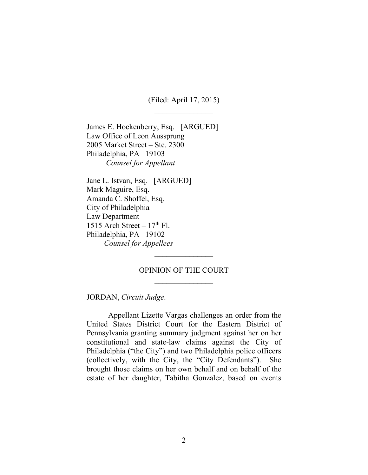(Filed: April 17, 2015)

James E. Hockenberry, Esq. [ARGUED] Law Office of Leon Aussprung 2005 Market Street – Ste. 2300 Philadelphia, PA 19103 *Counsel for Appellant*

Jane L. Istvan, Esq. [ARGUED] Mark Maguire, Esq. Amanda C. Shoffel, Esq. City of Philadelphia Law Department 1515 Arch Street  $-17<sup>th</sup>$  Fl. Philadelphia, PA 19102 *Counsel for Appellees*

## OPINION OF THE COURT

JORDAN, *Circuit Judge*.

Appellant Lizette Vargas challenges an order from the United States District Court for the Eastern District of Pennsylvania granting summary judgment against her on her constitutional and state-law claims against the City of Philadelphia ("the City") and two Philadelphia police officers (collectively, with the City, the "City Defendants"). She brought those claims on her own behalf and on behalf of the estate of her daughter, Tabitha Gonzalez, based on events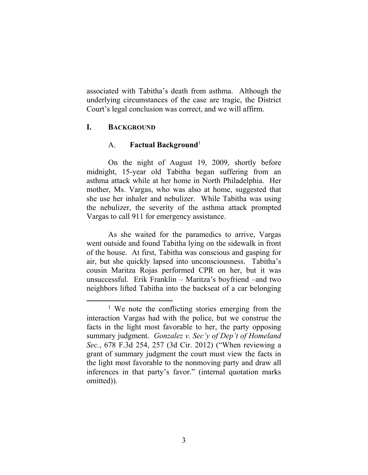associated with Tabitha's death from asthma. Although the underlying circumstances of the case are tragic, the District Court's legal conclusion was correct, and we will affirm.

## **I. BACKGROUND**

## A. **Factual Background**<sup>1</sup>

On the night of August 19, 2009, shortly before midnight, 15-year old Tabitha began suffering from an asthma attack while at her home in North Philadelphia. Her mother, Ms. Vargas, who was also at home, suggested that she use her inhaler and nebulizer. While Tabitha was using the nebulizer, the severity of the asthma attack prompted Vargas to call 911 for emergency assistance.

As she waited for the paramedics to arrive, Vargas went outside and found Tabitha lying on the sidewalk in front of the house. At first, Tabitha was conscious and gasping for air, but she quickly lapsed into unconsciousness. Tabitha's cousin Maritza Rojas performed CPR on her, but it was unsuccessful. Erik Franklin – Maritza's boyfriend –and two neighbors lifted Tabitha into the backseat of a car belonging

<sup>&</sup>lt;sup>1</sup> We note the conflicting stories emerging from the interaction Vargas had with the police, but we construe the facts in the light most favorable to her, the party opposing summary judgment. *Gonzalez v. Sec'y of Dep't of Homeland Sec.*, 678 F.3d 254, 257 (3d Cir. 2012) ("When reviewing a grant of summary judgment the court must view the facts in the light most favorable to the nonmoving party and draw all inferences in that party's favor." (internal quotation marks omitted)).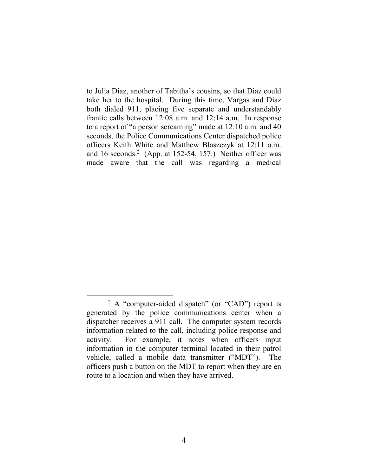to Julia Diaz, another of Tabitha's cousins, so that Diaz could take her to the hospital. During this time, Vargas and Diaz both dialed 911, placing five separate and understandably frantic calls between 12:08 a.m. and 12:14 a.m. In response to a report of "a person screaming" made at 12:10 a.m. and 40 seconds, the Police Communications Center dispatched police officers Keith White and Matthew Blaszczyk at 12:11 a.m. and 16 seconds. 2 (App. at 152-54, 157.) Neither officer was made aware that the call was regarding a medical

<sup>&</sup>lt;sup>2</sup> A "computer-aided dispatch" (or "CAD") report is generated by the police communications center when a dispatcher receives a 911 call. The computer system records information related to the call, including police response and activity. For example, it notes when officers input information in the computer terminal located in their patrol vehicle, called a mobile data transmitter ("MDT"). The officers push a button on the MDT to report when they are en route to a location and when they have arrived.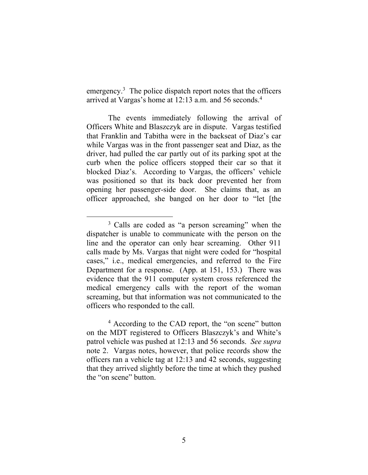emergency.<sup>3</sup> The police dispatch report notes that the officers arrived at Vargas's home at 12:13 a.m. and 56 seconds.<sup>4</sup>

The events immediately following the arrival of Officers White and Blaszczyk are in dispute. Vargas testified that Franklin and Tabitha were in the backseat of Diaz's car while Vargas was in the front passenger seat and Diaz, as the driver, had pulled the car partly out of its parking spot at the curb when the police officers stopped their car so that it blocked Diaz's. According to Vargas, the officers' vehicle was positioned so that its back door prevented her from opening her passenger-side door. She claims that, as an officer approached, she banged on her door to "let [the

<sup>&</sup>lt;sup>3</sup> Calls are coded as "a person screaming" when the dispatcher is unable to communicate with the person on the line and the operator can only hear screaming. Other 911 calls made by Ms. Vargas that night were coded for "hospital cases," i.e., medical emergencies, and referred to the Fire Department for a response. (App. at 151, 153.) There was evidence that the 911 computer system cross referenced the medical emergency calls with the report of the woman screaming, but that information was not communicated to the officers who responded to the call.

<sup>4</sup> According to the CAD report, the "on scene" button on the MDT registered to Officers Blaszczyk's and White's patrol vehicle was pushed at 12:13 and 56 seconds. *See supra* note 2. Vargas notes, however, that police records show the officers ran a vehicle tag at 12:13 and 42 seconds, suggesting that they arrived slightly before the time at which they pushed the "on scene" button.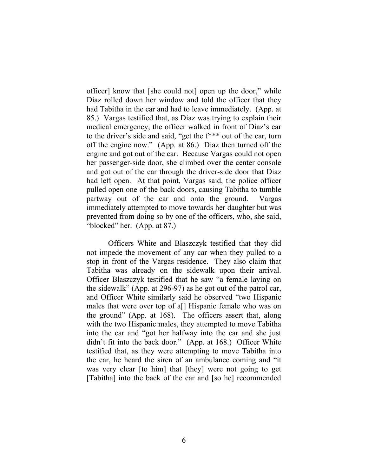officer] know that [she could not] open up the door," while Diaz rolled down her window and told the officer that they had Tabitha in the car and had to leave immediately. (App. at 85.) Vargas testified that, as Diaz was trying to explain their medical emergency, the officer walked in front of Diaz's car to the driver's side and said, "get the f\*\*\* out of the car, turn off the engine now." (App. at 86.) Diaz then turned off the engine and got out of the car. Because Vargas could not open her passenger-side door, she climbed over the center console and got out of the car through the driver-side door that Diaz had left open. At that point, Vargas said, the police officer pulled open one of the back doors, causing Tabitha to tumble partway out of the car and onto the ground. Vargas immediately attempted to move towards her daughter but was prevented from doing so by one of the officers, who, she said, "blocked" her. (App. at 87.)

Officers White and Blaszczyk testified that they did not impede the movement of any car when they pulled to a stop in front of the Vargas residence. They also claim that Tabitha was already on the sidewalk upon their arrival. Officer Blaszczyk testified that he saw "a female laying on the sidewalk" (App. at 296-97) as he got out of the patrol car, and Officer White similarly said he observed "two Hispanic males that were over top of a[] Hispanic female who was on the ground" (App. at 168). The officers assert that, along with the two Hispanic males, they attempted to move Tabitha into the car and "got her halfway into the car and she just didn't fit into the back door." (App. at 168.) Officer White testified that, as they were attempting to move Tabitha into the car, he heard the siren of an ambulance coming and "it was very clear [to him] that [they] were not going to get [Tabitha] into the back of the car and [so he] recommended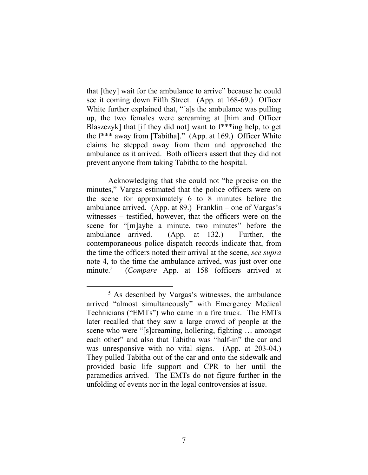that [they] wait for the ambulance to arrive" because he could see it coming down Fifth Street. (App. at 168-69.) Officer White further explained that, "[a]s the ambulance was pulling up, the two females were screaming at [him and Officer Blaszczyk] that [if they did not] want to f\*\*\*ing help, to get the f\*\*\* away from [Tabitha]." (App. at 169.) Officer White claims he stepped away from them and approached the ambulance as it arrived. Both officers assert that they did not prevent anyone from taking Tabitha to the hospital.

Acknowledging that she could not "be precise on the minutes," Vargas estimated that the police officers were on the scene for approximately 6 to 8 minutes before the ambulance arrived. (App. at 89.) Franklin – one of Vargas's witnesses – testified, however, that the officers were on the scene for "[m]aybe a minute, two minutes" before the ambulance arrived. (App. at 132.) Further, the contemporaneous police dispatch records indicate that, from the time the officers noted their arrival at the scene, *see supra*  note 4, to the time the ambulance arrived, was just over one minute.<sup>5</sup> (*Compare* App. at 158 (officers arrived at

<sup>5</sup> As described by Vargas's witnesses, the ambulance arrived "almost simultaneously" with Emergency Medical Technicians ("EMTs") who came in a fire truck. The EMTs later recalled that they saw a large crowd of people at the scene who were "[s]creaming, hollering, fighting … amongst each other" and also that Tabitha was "half-in" the car and was unresponsive with no vital signs. (App. at 203-04.) They pulled Tabitha out of the car and onto the sidewalk and provided basic life support and CPR to her until the paramedics arrived. The EMTs do not figure further in the unfolding of events nor in the legal controversies at issue.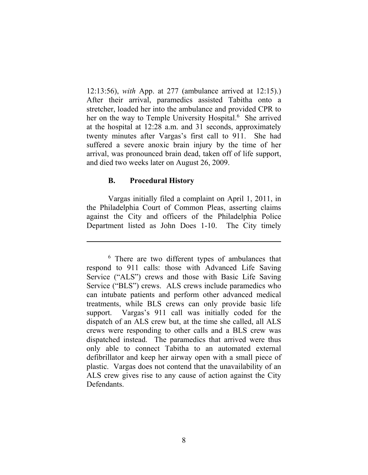12:13:56), *with* App. at 277 (ambulance arrived at 12:15).) After their arrival, paramedics assisted Tabitha onto a stretcher, loaded her into the ambulance and provided CPR to her on the way to Temple University Hospital.<sup>6</sup> She arrived at the hospital at 12:28 a.m. and 31 seconds, approximately twenty minutes after Vargas's first call to 911. She had suffered a severe anoxic brain injury by the time of her arrival, was pronounced brain dead, taken off of life support, and died two weeks later on August 26, 2009.

## **B. Procedural History**

Vargas initially filed a complaint on April 1, 2011, in the Philadelphia Court of Common Pleas, asserting claims against the City and officers of the Philadelphia Police Department listed as John Does 1-10. The City timely

<sup>&</sup>lt;sup>6</sup> There are two different types of ambulances that respond to 911 calls: those with Advanced Life Saving Service ("ALS") crews and those with Basic Life Saving Service ("BLS") crews. ALS crews include paramedics who can intubate patients and perform other advanced medical treatments, while BLS crews can only provide basic life support. Vargas's 911 call was initially coded for the dispatch of an ALS crew but, at the time she called, all ALS crews were responding to other calls and a BLS crew was dispatched instead. The paramedics that arrived were thus only able to connect Tabitha to an automated external defibrillator and keep her airway open with a small piece of plastic. Vargas does not contend that the unavailability of an ALS crew gives rise to any cause of action against the City Defendants.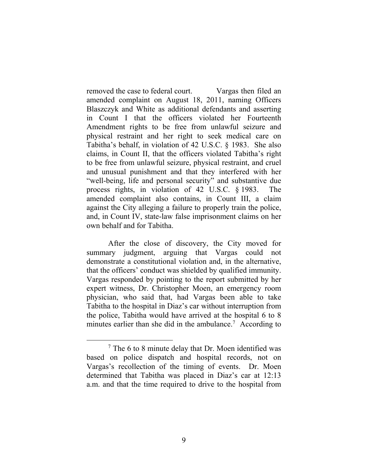removed the case to federal court. Vargas then filed an amended complaint on August 18, 2011, naming Officers Blaszczyk and White as additional defendants and asserting in Count I that the officers violated her Fourteenth Amendment rights to be free from unlawful seizure and physical restraint and her right to seek medical care on Tabitha's behalf, in violation of 42 U.S.C. § 1983. She also claims, in Count II, that the officers violated Tabitha's right to be free from unlawful seizure, physical restraint, and cruel and unusual punishment and that they interfered with her "well-being, life and personal security" and substantive due process rights, in violation of 42 U.S.C. § 1983. The amended complaint also contains, in Count III, a claim against the City alleging a failure to properly train the police, and, in Count IV, state-law false imprisonment claims on her own behalf and for Tabitha.

After the close of discovery, the City moved for summary judgment, arguing that Vargas could not demonstrate a constitutional violation and, in the alternative, that the officers' conduct was shielded by qualified immunity. Vargas responded by pointing to the report submitted by her expert witness, Dr. Christopher Moen, an emergency room physician, who said that, had Vargas been able to take Tabitha to the hospital in Diaz's car without interruption from the police, Tabitha would have arrived at the hospital 6 to 8 minutes earlier than she did in the ambulance.<sup>7</sup> According to

<sup>7</sup> The 6 to 8 minute delay that Dr. Moen identified was based on police dispatch and hospital records, not on Vargas's recollection of the timing of events. Dr. Moen determined that Tabitha was placed in Diaz's car at 12:13 a.m. and that the time required to drive to the hospital from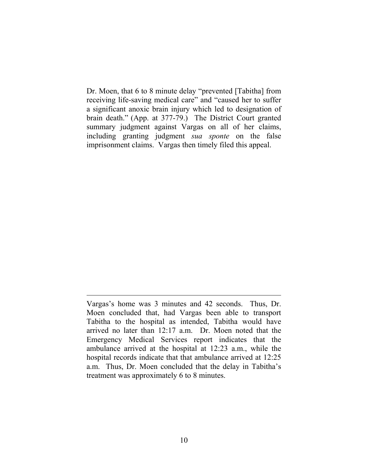Dr. Moen, that 6 to 8 minute delay "prevented [Tabitha] from receiving life-saving medical care" and "caused her to suffer a significant anoxic brain injury which led to designation of brain death." (App. at 377-79.) The District Court granted summary judgment against Vargas on all of her claims, including granting judgment *sua sponte* on the false imprisonment claims. Vargas then timely filed this appeal.

Vargas's home was 3 minutes and 42 seconds. Thus, Dr. Moen concluded that, had Vargas been able to transport Tabitha to the hospital as intended, Tabitha would have arrived no later than 12:17 a.m. Dr. Moen noted that the Emergency Medical Services report indicates that the ambulance arrived at the hospital at 12:23 a.m., while the hospital records indicate that that ambulance arrived at 12:25 a.m. Thus, Dr. Moen concluded that the delay in Tabitha's treatment was approximately 6 to 8 minutes.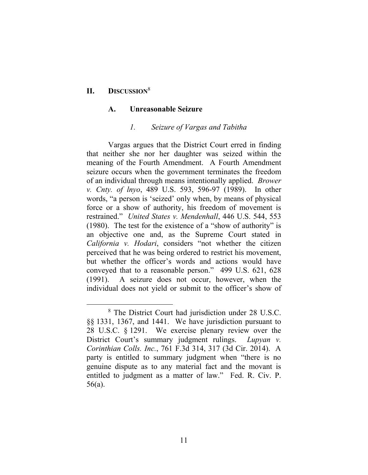## **II. DISCUSSION**<sup>8</sup>

#### **A. Unreasonable Seizure**

#### *1. Seizure of Vargas and Tabitha*

Vargas argues that the District Court erred in finding that neither she nor her daughter was seized within the meaning of the Fourth Amendment. A Fourth Amendment seizure occurs when the government terminates the freedom of an individual through means intentionally applied. *Brower v. Cnty. of lnyo*, 489 U.S. 593, 596-97 (1989). In other words, "a person is 'seized' only when, by means of physical force or a show of authority, his freedom of movement is restrained." *United States v. Mendenhall*, 446 U.S. 544, 553 (1980). The test for the existence of a "show of authority" is an objective one and, as the Supreme Court stated in *California v. Hodari*, considers "not whether the citizen perceived that he was being ordered to restrict his movement, but whether the officer's words and actions would have conveyed that to a reasonable person." 499 U.S. 621, 628 (1991). A seizure does not occur, however, when the individual does not yield or submit to the officer's show of

<sup>8</sup> The District Court had jurisdiction under 28 U.S.C. §§ 1331, 1367, and 1441. We have jurisdiction pursuant to 28 U.S.C. § 1291. We exercise plenary review over the District Court's summary judgment rulings. *Lupyan v. Corinthian Colls. Inc.*, 761 F.3d 314, 317 (3d Cir. 2014). A party is entitled to summary judgment when "there is no genuine dispute as to any material fact and the movant is entitled to judgment as a matter of law." Fed. R. Civ. P. 56(a).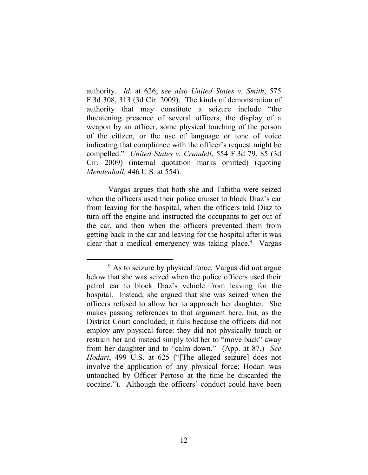authority. *Id.* at 626; *see also United States v. Smith*, 575 F.3d 308, 313 (3d Cir. 2009). The kinds of demonstration of authority that may constitute a seizure include "the threatening presence of several officers, the display of a weapon by an officer, some physical touching of the person of the citizen, or the use of language or tone of voice indicating that compliance with the officer's request might be compelled." *United States v. Crandell*, 554 F.3d 79, 85 (3d Cir. 2009) (internal quotation marks omitted) (quoting *Mendenhall*, 446 U.S. at 554).

Vargas argues that both she and Tabitha were seized when the officers used their police cruiser to block Diaz's car from leaving for the hospital, when the officers told Diaz to turn off the engine and instructed the occupants to get out of the car, and then when the officers prevented them from getting back in the car and leaving for the hospital after it was clear that a medical emergency was taking place.<sup>9</sup> Vargas

<sup>&</sup>lt;sup>9</sup> As to seizure by physical force, Vargas did not argue below that she was seized when the police officers used their patrol car to block Diaz's vehicle from leaving for the hospital. Instead, she argued that she was seized when the officers refused to allow her to approach her daughter. She makes passing references to that argument here, but, as the District Court concluded, it fails because the officers did not employ any physical force: they did not physically touch or restrain her and instead simply told her to "move back" away from her daughter and to "calm down." (App. at 87.) *See Hodari*, 499 U.S. at 625 ("[The alleged seizure] does not involve the application of any physical force; Hodari was untouched by Officer Pertoso at the time he discarded the cocaine."). Although the officers' conduct could have been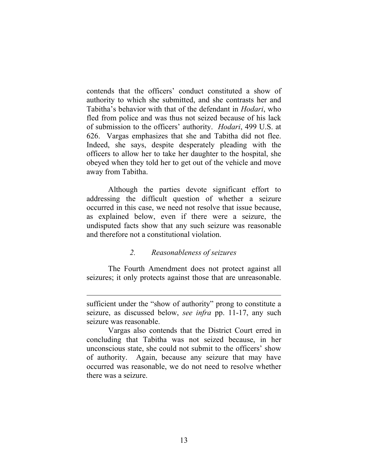contends that the officers' conduct constituted a show of authority to which she submitted, and she contrasts her and Tabitha's behavior with that of the defendant in *Hodari*, who fled from police and was thus not seized because of his lack of submission to the officers' authority. *Hodari*, 499 U.S. at 626. Vargas emphasizes that she and Tabitha did not flee. Indeed, she says, despite desperately pleading with the officers to allow her to take her daughter to the hospital, she obeyed when they told her to get out of the vehicle and move away from Tabitha.

Although the parties devote significant effort to addressing the difficult question of whether a seizure occurred in this case, we need not resolve that issue because, as explained below, even if there were a seizure, the undisputed facts show that any such seizure was reasonable and therefore not a constitutional violation.

## *2. Reasonableness of seizures*

The Fourth Amendment does not protect against all seizures; it only protects against those that are unreasonable.

sufficient under the "show of authority" prong to constitute a seizure, as discussed below, *see infra* pp. 11-17, any such seizure was reasonable.

Vargas also contends that the District Court erred in concluding that Tabitha was not seized because, in her unconscious state, she could not submit to the officers' show of authority. Again, because any seizure that may have occurred was reasonable, we do not need to resolve whether there was a seizure.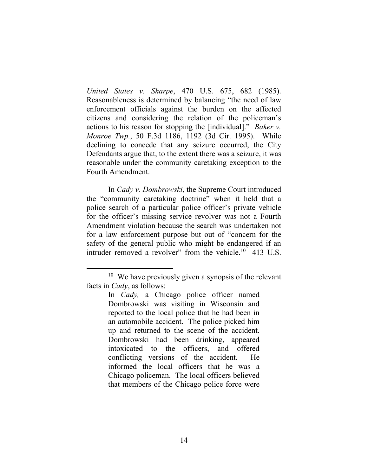*United States v. Sharpe*, 470 U.S. 675, 682 (1985). Reasonableness is determined by balancing "the need of law enforcement officials against the burden on the affected citizens and considering the relation of the policeman's actions to his reason for stopping the [individual]." *Baker v. Monroe Twp.*, 50 F.3d 1186, 1192 (3d Cir. 1995). While declining to concede that any seizure occurred, the City Defendants argue that, to the extent there was a seizure, it was reasonable under the community caretaking exception to the Fourth Amendment.

In *Cady v. Dombrowski*, the Supreme Court introduced the "community caretaking doctrine" when it held that a police search of a particular police officer's private vehicle for the officer's missing service revolver was not a Fourth Amendment violation because the search was undertaken not for a law enforcement purpose but out of "concern for the safety of the general public who might be endangered if an intruder removed a revolver" from the vehicle. $10$  413 U.S.

<sup>&</sup>lt;sup>10</sup> We have previously given a synopsis of the relevant facts in *Cady*, as follows:

In *Cady,* a Chicago police officer named Dombrowski was visiting in Wisconsin and reported to the local police that he had been in an automobile accident. The police picked him up and returned to the scene of the accident. Dombrowski had been drinking, appeared intoxicated to the officers, and offered conflicting versions of the accident. He informed the local officers that he was a Chicago policeman. The local officers believed that members of the Chicago police force were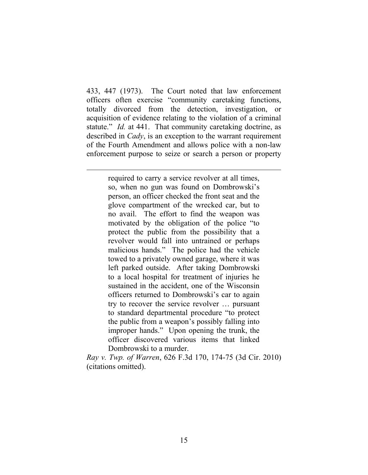433, 447 (1973). The Court noted that law enforcement officers often exercise "community caretaking functions, totally divorced from the detection, investigation, or acquisition of evidence relating to the violation of a criminal statute." *Id.* at 441. That community caretaking doctrine, as described in *Cady*, is an exception to the warrant requirement of the Fourth Amendment and allows police with a non-law enforcement purpose to seize or search a person or property

required to carry a service revolver at all times, so, when no gun was found on Dombrowski's person, an officer checked the front seat and the glove compartment of the wrecked car, but to no avail. The effort to find the weapon was motivated by the obligation of the police "to protect the public from the possibility that a revolver would fall into untrained or perhaps malicious hands." The police had the vehicle towed to a privately owned garage, where it was left parked outside. After taking Dombrowski to a local hospital for treatment of injuries he sustained in the accident, one of the Wisconsin officers returned to Dombrowski's car to again try to recover the service revolver … pursuant to standard departmental procedure "to protect the public from a weapon's possibly falling into improper hands." Upon opening the trunk, the officer discovered various items that linked Dombrowski to a murder.

*Ray v. Twp. of Warren*, 626 F.3d 170, 174-75 (3d Cir. 2010) (citations omitted).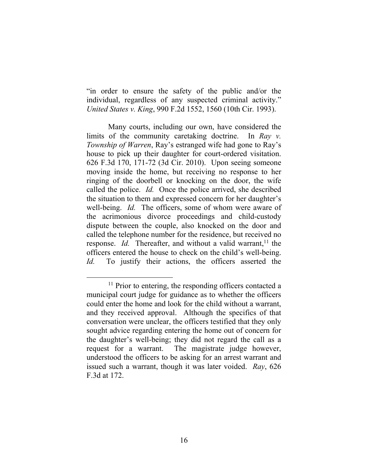"in order to ensure the safety of the public and/or the individual, regardless of any suspected criminal activity." *United States v. King*, 990 F.2d 1552, 1560 (10th Cir. 1993).

Many courts, including our own, have considered the limits of the community caretaking doctrine. In *Ray v. Township of Warren*, Ray's estranged wife had gone to Ray's house to pick up their daughter for court-ordered visitation. 626 F.3d 170, 171-72 (3d Cir. 2010). Upon seeing someone moving inside the home, but receiving no response to her ringing of the doorbell or knocking on the door, the wife called the police. *Id.* Once the police arrived, she described the situation to them and expressed concern for her daughter's well-being. *Id.* The officers, some of whom were aware of the acrimonious divorce proceedings and child-custody dispute between the couple, also knocked on the door and called the telephone number for the residence, but received no response. *Id*. Thereafter, and without a valid warrant,<sup>11</sup> the officers entered the house to check on the child's well-being. *Id.* To justify their actions, the officers asserted the

<sup>&</sup>lt;sup>11</sup> Prior to entering, the responding officers contacted a municipal court judge for guidance as to whether the officers could enter the home and look for the child without a warrant, and they received approval. Although the specifics of that conversation were unclear, the officers testified that they only sought advice regarding entering the home out of concern for the daughter's well-being; they did not regard the call as a request for a warrant. The magistrate judge however, understood the officers to be asking for an arrest warrant and issued such a warrant, though it was later voided. *Ray*, 626 F.3d at 172.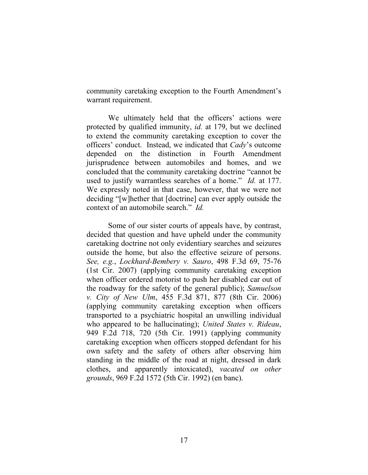community caretaking exception to the Fourth Amendment's warrant requirement.

We ultimately held that the officers' actions were protected by qualified immunity, *id.* at 179, but we declined to extend the community caretaking exception to cover the officers' conduct. Instead, we indicated that *Cady*'s outcome depended on the distinction in Fourth Amendment jurisprudence between automobiles and homes, and we concluded that the community caretaking doctrine "cannot be used to justify warrantless searches of a home." *Id.* at 177. We expressly noted in that case, however, that we were not deciding "[w]hether that [doctrine] can ever apply outside the context of an automobile search." *Id.*

Some of our sister courts of appeals have, by contrast, decided that question and have upheld under the community caretaking doctrine not only evidentiary searches and seizures outside the home, but also the effective seizure of persons. *See, e.g.*, *Lockhard-Bembery v. Sauro*, 498 F.3d 69, 75-76 (1st Cir. 2007) (applying community caretaking exception when officer ordered motorist to push her disabled car out of the roadway for the safety of the general public); *Samuelson v. City of New Ulm*, 455 F.3d 871, 877 (8th Cir. 2006) (applying community caretaking exception when officers transported to a psychiatric hospital an unwilling individual who appeared to be hallucinating); *United States v. Rideau*, 949 F.2d 718, 720 (5th Cir. 1991) (applying community caretaking exception when officers stopped defendant for his own safety and the safety of others after observing him standing in the middle of the road at night, dressed in dark clothes, and apparently intoxicated), *vacated on other grounds*, 969 F.2d 1572 (5th Cir. 1992) (en banc).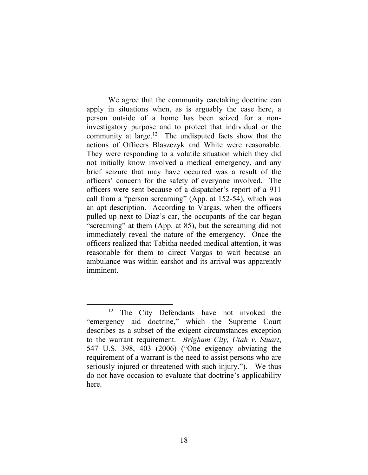We agree that the community caretaking doctrine can apply in situations when, as is arguably the case here, a person outside of a home has been seized for a noninvestigatory purpose and to protect that individual or the community at large.<sup>12</sup> The undisputed facts show that the actions of Officers Blaszczyk and White were reasonable. They were responding to a volatile situation which they did not initially know involved a medical emergency, and any brief seizure that may have occurred was a result of the officers' concern for the safety of everyone involved. The officers were sent because of a dispatcher's report of a 911 call from a "person screaming" (App. at 152-54), which was an apt description. According to Vargas, when the officers pulled up next to Diaz's car, the occupants of the car began "screaming" at them (App. at 85), but the screaming did not immediately reveal the nature of the emergency. Once the officers realized that Tabitha needed medical attention, it was reasonable for them to direct Vargas to wait because an ambulance was within earshot and its arrival was apparently imminent.

<sup>&</sup>lt;sup>12</sup> The City Defendants have not invoked the "emergency aid doctrine," which the Supreme Court describes as a subset of the exigent circumstances exception to the warrant requirement. *Brigham City, Utah v. Stuart*, 547 U.S. 398, 403 (2006) ("One exigency obviating the requirement of a warrant is the need to assist persons who are seriously injured or threatened with such injury."). We thus do not have occasion to evaluate that doctrine's applicability here.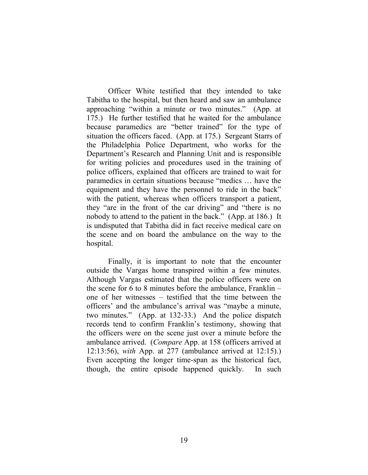Officer White testified that they intended to take Tabitha to the hospital, but then heard and saw an ambulance approaching "within a minute or two minutes." (App. at 175.) He further testified that he waited for the ambulance because paramedics are "better trained" for the type of situation the officers faced. (App. at 175.) Sergeant Starrs of the Philadelphia Police Department, who works for the Department's Research and Planning Unit and is responsible for writing policies and procedures used in the training of police officers, explained that officers are trained to wait for paramedics in certain situations because "medics … have the equipment and they have the personnel to ride in the back" with the patient, whereas when officers transport a patient, they "are in the front of the car driving" and "there is no nobody to attend to the patient in the back." (App. at 186.) It is undisputed that Tabitha did in fact receive medical care on the scene and on board the ambulance on the way to the hospital.

Finally, it is important to note that the encounter outside the Vargas home transpired within a few minutes. Although Vargas estimated that the police officers were on the scene for 6 to 8 minutes before the ambulance, Franklin – one of her witnesses – testified that the time between the officers' and the ambulance's arrival was "maybe a minute, two minutes." (App. at 132-33.) And the police dispatch records tend to confirm Franklin's testimony, showing that the officers were on the scene just over a minute before the ambulance arrived. (*Compare* App. at 158 (officers arrived at 12:13:56), *with* App. at 277 (ambulance arrived at 12:15).) Even accepting the longer time-span as the historical fact, though, the entire episode happened quickly. In such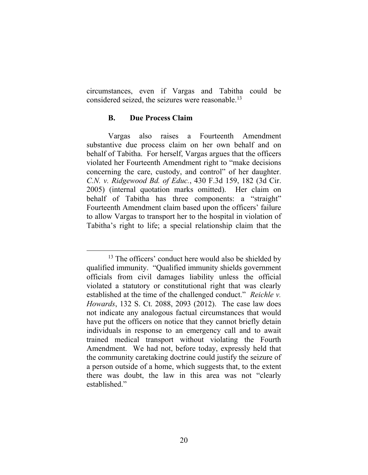circumstances, even if Vargas and Tabitha could be considered seized, the seizures were reasonable.<sup>13</sup>

## **B. Due Process Claim**

Vargas also raises a Fourteenth Amendment substantive due process claim on her own behalf and on behalf of Tabitha. For herself, Vargas argues that the officers violated her Fourteenth Amendment right to "make decisions concerning the care, custody, and control" of her daughter. *C.N. v. Ridgewood Bd. of Educ.*, 430 F.3d 159, 182 (3d Cir. 2005) (internal quotation marks omitted). Her claim on behalf of Tabitha has three components: a "straight" Fourteenth Amendment claim based upon the officers' failure to allow Vargas to transport her to the hospital in violation of Tabitha's right to life; a special relationship claim that the

 <sup>13</sup> The officers' conduct here would also be shielded by qualified immunity. "Qualified immunity shields government officials from civil damages liability unless the official violated a statutory or constitutional right that was clearly established at the time of the challenged conduct." *Reichle v. Howards*, 132 S. Ct. 2088, 2093 (2012). The case law does not indicate any analogous factual circumstances that would have put the officers on notice that they cannot briefly detain individuals in response to an emergency call and to await trained medical transport without violating the Fourth Amendment. We had not, before today, expressly held that the community caretaking doctrine could justify the seizure of a person outside of a home, which suggests that, to the extent there was doubt, the law in this area was not "clearly established."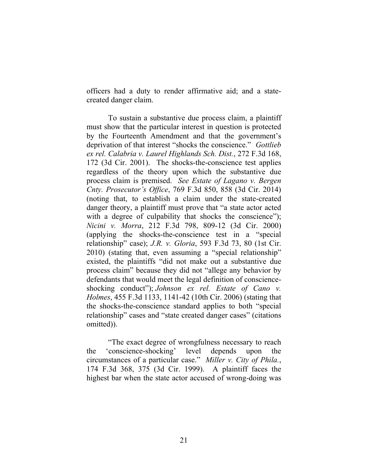officers had a duty to render affirmative aid; and a statecreated danger claim.

To sustain a substantive due process claim, a plaintiff must show that the particular interest in question is protected by the Fourteenth Amendment and that the government's deprivation of that interest "shocks the conscience." *Gottlieb ex rel. Calabria v. Laurel Highlands Sch. Dist.*, 272 F.3d 168, 172 (3d Cir. 2001). The shocks-the-conscience test applies regardless of the theory upon which the substantive due process claim is premised. *See Estate of Lagano v. Bergen Cnty. Prosecutor's Office*, 769 F.3d 850, 858 (3d Cir. 2014) (noting that, to establish a claim under the state-created danger theory, a plaintiff must prove that "a state actor acted with a degree of culpability that shocks the conscience"); *Nicini v. Morra*, 212 F.3d 798, 809-12 (3d Cir. 2000) (applying the shocks-the-conscience test in a "special relationship" case); *J.R. v. Gloria*, 593 F.3d 73, 80 (1st Cir. 2010) (stating that, even assuming a "special relationship" existed, the plaintiffs "did not make out a substantive due process claim" because they did not "allege any behavior by defendants that would meet the legal definition of conscienceshocking conduct"); *Johnson ex rel. Estate of Cano v. Holmes*, 455 F.3d 1133, 1141-42 (10th Cir. 2006) (stating that the shocks-the-conscience standard applies to both "special relationship" cases and "state created danger cases" (citations omitted)).

"The exact degree of wrongfulness necessary to reach the 'conscience-shocking' level depends upon the circumstances of a particular case." *Miller v. City of Phila.*, 174 F.3d 368, 375 (3d Cir. 1999). A plaintiff faces the highest bar when the state actor accused of wrong-doing was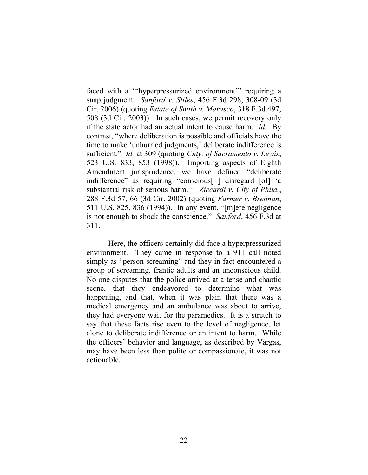faced with a "'hyperpressurized environment'" requiring a snap judgment. *Sanford v. Stiles*, 456 F.3d 298, 308-09 (3d Cir. 2006) (quoting *Estate of Smith v. Marasco*, 318 F.3d 497, 508 (3d Cir. 2003)). In such cases, we permit recovery only if the state actor had an actual intent to cause harm. *Id.* By contrast, "where deliberation is possible and officials have the time to make 'unhurried judgments,' deliberate indifference is sufficient." *Id.* at 309 (quoting *Cnty. of Sacramento v. Lewis*, 523 U.S. 833, 853 (1998)). Importing aspects of Eighth Amendment jurisprudence, we have defined "deliberate indifference" as requiring "conscious[ ] disregard [of] 'a substantial risk of serious harm.'" *Ziccardi v. City of Phila.*, 288 F.3d 57, 66 (3d Cir. 2002) (quoting *Farmer v. Brennan*, 511 U.S. 825, 836 (1994)). In any event, "[m]ere negligence is not enough to shock the conscience." *Sanford*, 456 F.3d at 311.

Here, the officers certainly did face a hyperpressurized environment. They came in response to a 911 call noted simply as "person screaming" and they in fact encountered a group of screaming, frantic adults and an unconscious child. No one disputes that the police arrived at a tense and chaotic scene, that they endeavored to determine what was happening, and that, when it was plain that there was a medical emergency and an ambulance was about to arrive, they had everyone wait for the paramedics. It is a stretch to say that these facts rise even to the level of negligence, let alone to deliberate indifference or an intent to harm. While the officers' behavior and language, as described by Vargas, may have been less than polite or compassionate, it was not actionable.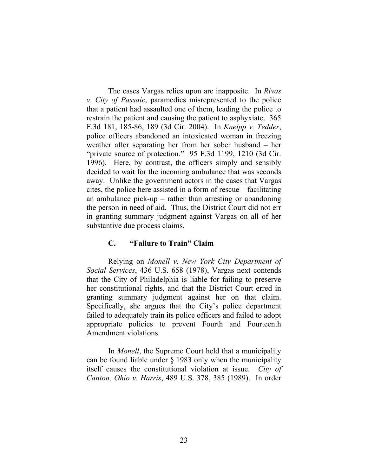The cases Vargas relies upon are inapposite. In *Rivas v. City of Passaic*, paramedics misrepresented to the police that a patient had assaulted one of them, leading the police to restrain the patient and causing the patient to asphyxiate. 365 F.3d 181, 185-86, 189 (3d Cir. 2004). In *Kneipp v. Tedder*, police officers abandoned an intoxicated woman in freezing weather after separating her from her sober husband – her "private source of protection." 95 F.3d 1199, 1210 (3d Cir. 1996). Here, by contrast, the officers simply and sensibly decided to wait for the incoming ambulance that was seconds away. Unlike the government actors in the cases that Vargas cites, the police here assisted in a form of rescue – facilitating an ambulance pick-up – rather than arresting or abandoning the person in need of aid. Thus, the District Court did not err in granting summary judgment against Vargas on all of her substantive due process claims.

## **C. "Failure to Train" Claim**

Relying on *Monell v. New York City Department of Social Services*, 436 U.S. 658 (1978), Vargas next contends that the City of Philadelphia is liable for failing to preserve her constitutional rights, and that the District Court erred in granting summary judgment against her on that claim. Specifically, she argues that the City's police department failed to adequately train its police officers and failed to adopt appropriate policies to prevent Fourth and Fourteenth Amendment violations.

In *Monell*, the Supreme Court held that a municipality can be found liable under § 1983 only when the municipality itself causes the constitutional violation at issue. *City of Canton, Ohio v. Harris*, 489 U.S. 378, 385 (1989). In order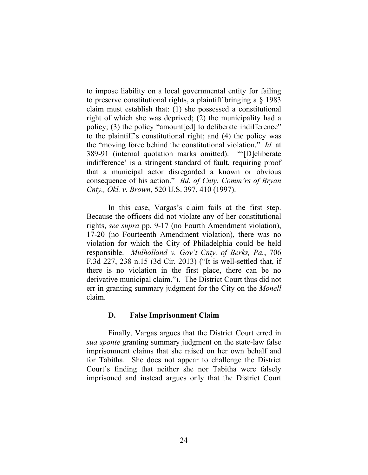to impose liability on a local governmental entity for failing to preserve constitutional rights, a plaintiff bringing a § 1983 claim must establish that: (1) she possessed a constitutional right of which she was deprived; (2) the municipality had a policy; (3) the policy "amount[ed] to deliberate indifference" to the plaintiff's constitutional right; and (4) the policy was the "moving force behind the constitutional violation." *Id.* at 389-91 (internal quotation marks omitted). "'[D]eliberate indifference' is a stringent standard of fault, requiring proof that a municipal actor disregarded a known or obvious consequence of his action." *Bd. of Cnty. Comm'rs of Bryan Cnty., Okl. v. Brown*, 520 U.S. 397, 410 (1997).

In this case, Vargas's claim fails at the first step. Because the officers did not violate any of her constitutional rights, *see supra* pp. 9-17 (no Fourth Amendment violation), 17-20 (no Fourteenth Amendment violation), there was no violation for which the City of Philadelphia could be held responsible. *Mulholland v. Gov't Cnty. of Berks, Pa.*, 706 F.3d 227, 238 n.15 (3d Cir. 2013) ("It is well-settled that, if there is no violation in the first place, there can be no derivative municipal claim."). The District Court thus did not err in granting summary judgment for the City on the *Monell*  claim.

### **D. False Imprisonment Claim**

Finally, Vargas argues that the District Court erred in *sua sponte* granting summary judgment on the state-law false imprisonment claims that she raised on her own behalf and for Tabitha. She does not appear to challenge the District Court's finding that neither she nor Tabitha were falsely imprisoned and instead argues only that the District Court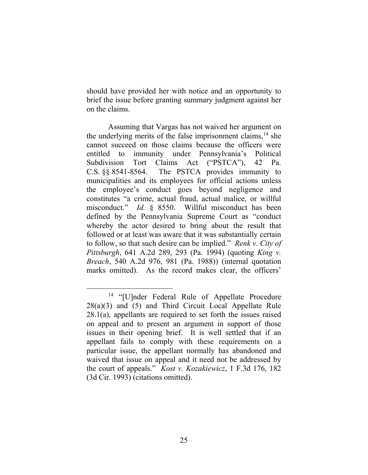should have provided her with notice and an opportunity to brief the issue before granting summary judgment against her on the claims.

Assuming that Vargas has not waived her argument on the underlying merits of the false imprisonment claims,  $^{14}$  she cannot succeed on those claims because the officers were entitled to immunity under Pennsylvania's Political Subdivision Tort Claims Act ("PSTCA"), 42 Pa. C.S. §§ 8541-8564. The PSTCA provides immunity to municipalities and its employees for official actions unless the employee's conduct goes beyond negligence and constitutes "a crime, actual fraud, actual malice, or willful misconduct." *Id.* § 8550. Willful misconduct has been defined by the Pennsylvania Supreme Court as "conduct whereby the actor desired to bring about the result that followed or at least was aware that it was substantially certain to follow, so that such desire can be implied." *Renk v. City of Pittsburgh*, 641 A.2d 289, 293 (Pa. 1994) (quoting *King v. Breach*, 540 A.2d 976, 981 (Pa. 1988)) (internal quotation marks omitted). As the record makes clear, the officers'

<sup>&</sup>lt;sup>14</sup> "[U]nder Federal Rule of Appellate Procedure 28(a)(3) and (5) and Third Circuit Local Appellate Rule 28.1(a), appellants are required to set forth the issues raised on appeal and to present an argument in support of those issues in their opening brief. It is well settled that if an appellant fails to comply with these requirements on a particular issue, the appellant normally has abandoned and waived that issue on appeal and it need not be addressed by the court of appeals." *Kost v. Kozakiewicz*, 1 F.3d 176, 182 (3d Cir. 1993) (citations omitted).